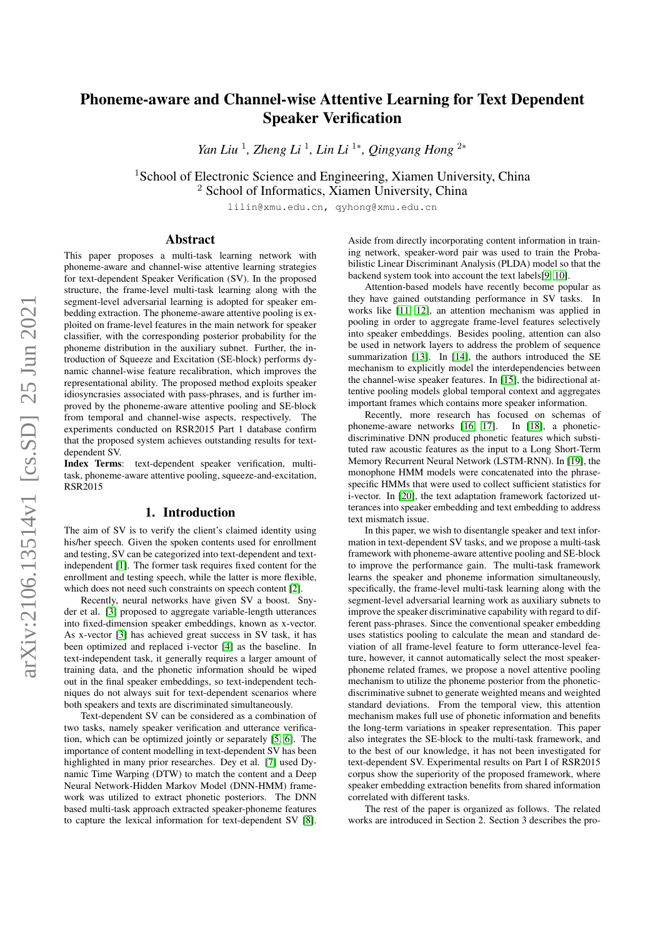# Phoneme-aware and Channel-wise Attentive Learning for Text Dependent Speaker Verification

*Yan Liu*<sup>1</sup>, *Zheng Li*<sup>1</sup>, *Lin Li*<sup>1∗</sup>, *Qingyang Hong*<sup>2∗</sup>

<sup>1</sup>School of Electronic Science and Engineering, Xiamen University, China <sup>2</sup> School of Informatics, Xiamen University, China

lilin@xmu.edu.cn, qyhong@xmu.edu.cn

#### Abstract

This paper proposes a multi-task learning network with phoneme-aware and channel-wise attentive learning strategies for text-dependent Speaker Verification (SV). In the proposed structure, the frame-level multi-task learning along with the segment-level adversarial learning is adopted for speaker embedding extraction. The phoneme-aware attentive pooling is exploited on frame-level features in the main network for speaker classifier, with the corresponding posterior probability for the phoneme distribution in the auxiliary subnet. Further, the introduction of Squeeze and Excitation (SE-block) performs dynamic channel-wise feature recalibration, which improves the representational ability. The proposed method exploits speaker idiosyncrasies associated with pass-phrases, and is further improved by the phoneme-aware attentive pooling and SE-block from temporal and channel-wise aspects, respectively. The experiments conducted on RSR2015 Part 1 database confirm that the proposed system achieves outstanding results for textdependent SV.

Index Terms: text-dependent speaker verification, multitask, phoneme-aware attentive pooling, squeeze-and-excitation, RSR2015

#### 1. Introduction

The aim of SV is to verify the client's claimed identity using his/her speech. Given the spoken contents used for enrollment and testing, SV can be categorized into text-dependent and textindependent [\[1\]](#page-4-0). The former task requires fixed content for the enrollment and testing speech, while the latter is more flexible, which does not need such constraints on speech content [\[2\]](#page-4-1).

Recently, neural networks have given SV a boost. Snyder et al. [\[3\]](#page-4-2) proposed to aggregate variable-length utterances into fixed-dimension speaker embeddings, known as x-vector. As x-vector [\[3\]](#page-4-2) has achieved great success in SV task, it has been optimized and replaced i-vector [\[4\]](#page-4-3) as the baseline. In text-independent task, it generally requires a larger amount of training data, and the phonetic information should be wiped out in the final speaker embeddings, so text-independent techniques do not always suit for text-dependent scenarios where both speakers and texts are discriminated simultaneously.

Text-dependent SV can be considered as a combination of two tasks, namely speaker verification and utterance verification, which can be optimized jointly or separately [\[5,](#page-4-4) [6\]](#page-4-5). The importance of content modelling in text-dependent SV has been highlighted in many prior researches. Dey et al. [\[7\]](#page-4-6) used Dynamic Time Warping (DTW) to match the content and a Deep Neural Network-Hidden Markov Model (DNN-HMM) framework was utilized to extract phonetic posteriors. The DNN based multi-task approach extracted speaker-phoneme features to capture the lexical information for text-dependent SV [\[8\]](#page-4-7).

Aside from directly incorporating content information in training network, speaker-word pair was used to train the Probabilistic Linear Discriminant Analysis (PLDA) model so that the backend system took into account the text labels[\[9,](#page-4-8) [10\]](#page-4-9).

Attention-based models have recently become popular as they have gained outstanding performance in SV tasks. In works like [\[11,](#page-4-10) [12\]](#page-4-11), an attention mechanism was applied in pooling in order to aggregate frame-level features selectively into speaker embeddings. Besides pooling, attention can also be used in network layers to address the problem of sequence summarization [\[13\]](#page-4-12). In [\[14\]](#page-4-13), the authors introduced the SE mechanism to explicitly model the interdependencies between the channel-wise speaker features. In [\[15\]](#page-4-14), the bidirectional attentive pooling models global temporal context and aggregates important frames which contains more speaker information.

Recently, more research has focused on schemas of phoneme-aware networks [\[16,](#page-4-15) [17\]](#page-4-16). In [\[18\]](#page-4-17), a phoneticdiscriminative DNN produced phonetic features which substituted raw acoustic features as the input to a Long Short-Term Memory Recurrent Neural Network (LSTM-RNN). In [\[19\]](#page-4-18), the monophone HMM models were concatenated into the phrasespecific HMMs that were used to collect sufficient statistics for i-vector. In [\[20\]](#page-4-19), the text adaptation framework factorized utterances into speaker embedding and text embedding to address text mismatch issue.

In this paper, we wish to disentangle speaker and text information in text-dependent SV tasks, and we propose a multi-task framework with phoneme-aware attentive pooling and SE-block to improve the performance gain. The multi-task framework learns the speaker and phoneme information simultaneously, specifically, the frame-level multi-task learning along with the segment-level adversarial learning work as auxiliary subnets to improve the speaker discriminative capability with regard to different pass-phrases. Since the conventional speaker embedding uses statistics pooling to calculate the mean and standard deviation of all frame-level feature to form utterance-level feature, however, it cannot automatically select the most speakerphoneme related frames, we propose a novel attentive pooling mechanism to utilize the phoneme posterior from the phoneticdiscriminative subnet to generate weighted means and weighted standard deviations. From the temporal view, this attention mechanism makes full use of phonetic information and benefits the long-term variations in speaker representation. This paper also integrates the SE-block to the multi-task framework, and to the best of our knowledge, it has not been investigated for text-dependent SV. Experimental results on Part I of RSR2015 corpus show the superiority of the proposed framework, where speaker embedding extraction benefits from shared information correlated with different tasks.

The rest of the paper is organized as follows. The related works are introduced in Section 2. Section 3 describes the pro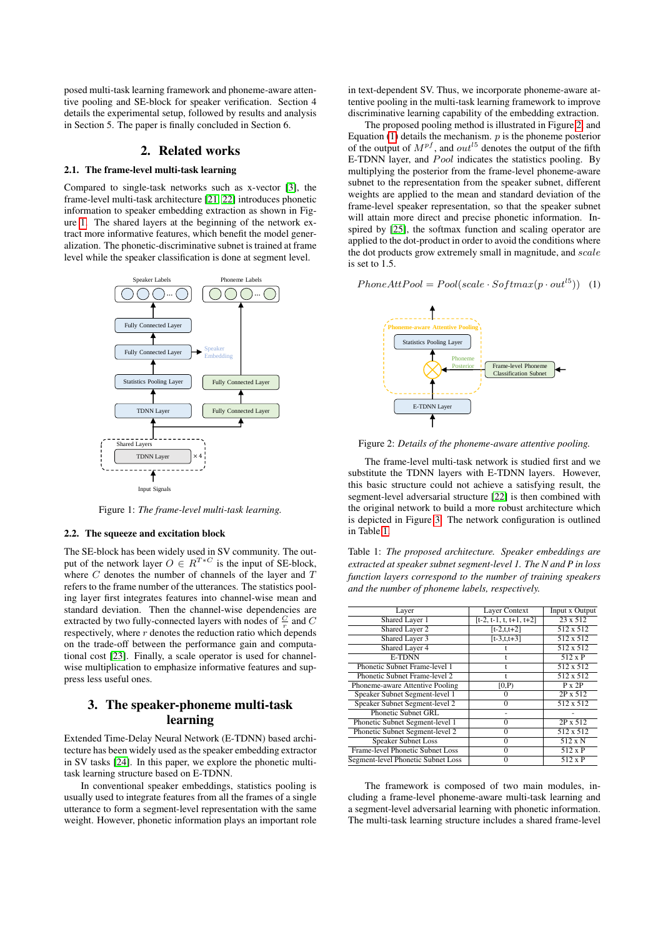posed multi-task learning framework and phoneme-aware attentive pooling and SE-block for speaker verification. Section 4 details the experimental setup, followed by results and analysis in Section 5. The paper is finally concluded in Section 6.

#### 2. Related works

#### 2.1. The frame-level multi-task learning

Compared to single-task networks such as x-vector [\[3\]](#page-4-2), the frame-level multi-task architecture [\[21,](#page-4-20) [22\]](#page-4-21) introduces phonetic information to speaker embedding extraction as shown in Figure [1.](#page-1-0) The shared layers at the beginning of the network extract more informative features, which benefit the model generalization. The phonetic-discriminative subnet is trained at frame level while the speaker classification is done at segment level.

<span id="page-1-0"></span>

Figure 1: *The frame-level multi-task learning.*

#### 2.2. The squeeze and excitation block

The SE-block has been widely used in SV community. The output of the network layer  $O \in R^{T*C}$  is the input of SE-block, where  $C$  denotes the number of channels of the layer and  $T$ refers to the frame number of the utterances. The statistics pooling layer first integrates features into channel-wise mean and standard deviation. Then the channel-wise dependencies are extracted by two fully-connected layers with nodes of  $\frac{C}{r}$  and C respectively, where  $r$  denotes the reduction ratio which depends on the trade-off between the performance gain and computational cost [\[23\]](#page-4-22). Finally, a scale operator is used for channelwise multiplication to emphasize informative features and suppress less useful ones.

# 3. The speaker-phoneme multi-task learning

Extended Time-Delay Neural Network (E-TDNN) based architecture has been widely used as the speaker embedding extractor in SV tasks [\[24\]](#page-4-23). In this paper, we explore the phonetic multitask learning structure based on E-TDNN.

In conventional speaker embeddings, statistics pooling is usually used to integrate features from all the frames of a single utterance to form a segment-level representation with the same weight. However, phonetic information plays an important role in text-dependent SV. Thus, we incorporate phoneme-aware attentive pooling in the multi-task learning framework to improve discriminative learning capability of the embedding extraction.

The proposed pooling method is illustrated in Figure [2,](#page-1-1) and Equation  $(1)$  details the mechanism.  $p$  is the phoneme posterior of the output of  $M^{pf}$ , and  $out^{15}$  denotes the output of the fifth E-TDNN layer, and  $Pool$  indicates the statistics pooling. By multiplying the posterior from the frame-level phoneme-aware subnet to the representation from the speaker subnet, different weights are applied to the mean and standard deviation of the frame-level speaker representation, so that the speaker subnet will attain more direct and precise phonetic information. Inspired by [\[25\]](#page-4-24), the softmax function and scaling operator are applied to the dot-product in order to avoid the conditions where the dot products grow extremely small in magnitude, and scale is set to 1.5.

<span id="page-1-1"></span>

<span id="page-1-2"></span> $PhoneAttPool = Pool(scale \cdot Softmax(p \cdot out^{15}))$  (1)

Figure 2: *Details of the phoneme-aware attentive pooling.*

The frame-level multi-task network is studied first and we substitute the TDNN layers with E-TDNN layers. However, this basic structure could not achieve a satisfying result, the segment-level adversarial structure [\[22\]](#page-4-21) is then combined with the original network to build a more robust architecture which is depicted in Figure [3.](#page-2-0) The network configuration is outlined in Table [1.](#page-1-3)

<span id="page-1-3"></span>Table 1: *The proposed architecture. Speaker embeddings are extracted at speaker subnet segment-level 1. The N and P in loss function layers correspond to the number of training speakers and the number of phoneme labels, respectively.*

| Layer Context             | Input x Output   |
|---------------------------|------------------|
| $[t-2, t-1, t, t+1, t+2]$ | $23 \times 512$  |
| $[t-2,t,t+2]$             | 512 x 512        |
| $[t-3,t,t+3]$             | 512 x 512        |
|                           | $512 \times 512$ |
|                           | 512 x P          |
|                           | 512 x 512        |
|                           | $512 \times 512$ |
| [0,P)                     | $P \times 2P$    |
| 0                         | 2P x 512         |
| 0                         | $512 \times 512$ |
|                           |                  |
| 0                         | 2P x 512         |
| 0                         | 512 x 512        |
| O                         | $512 \times N$   |
| O                         | $512 \times P$   |
|                           | $512 \times P$   |
|                           |                  |

The framework is composed of two main modules, including a frame-level phoneme-aware multi-task learning and a segment-level adversarial learning with phonetic information. The multi-task learning structure includes a shared frame-level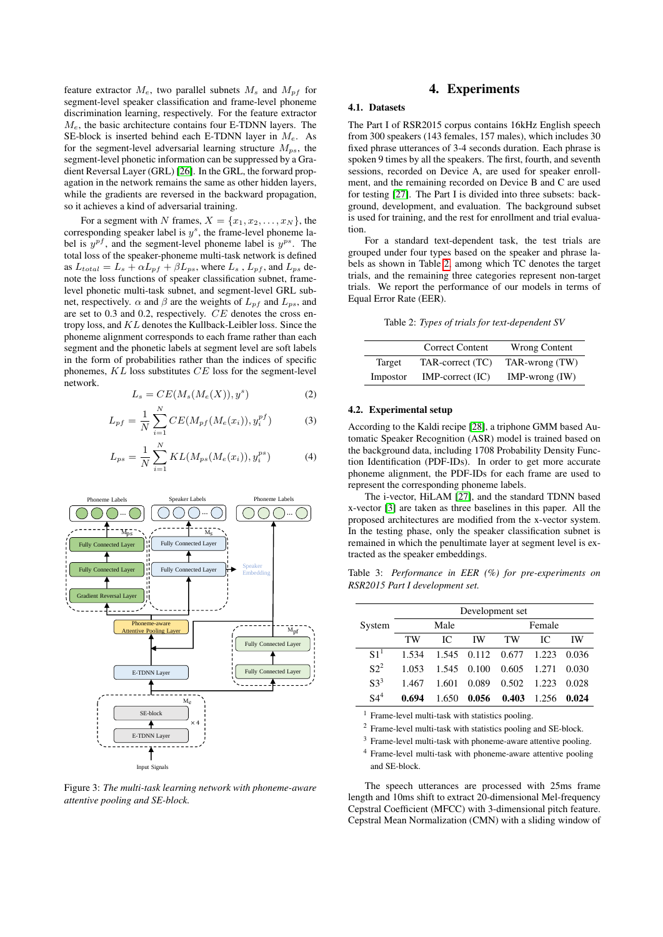feature extractor  $M_e$ , two parallel subnets  $M_s$  and  $M_{pf}$  for segment-level speaker classification and frame-level phoneme discrimination learning, respectively. For the feature extractor  $M_e$ , the basic architecture contains four E-TDNN layers. The SE-block is inserted behind each E-TDNN layer in  $M_e$ . As for the segment-level adversarial learning structure  $M_{ps}$ , the segment-level phonetic information can be suppressed by a Gradient Reversal Layer (GRL) [\[26\]](#page-4-25). In the GRL, the forward propagation in the network remains the same as other hidden layers, while the gradients are reversed in the backward propagation, so it achieves a kind of adversarial training.

For a segment with N frames,  $X = \{x_1, x_2, \ldots, x_N\}$ , the corresponding speaker label is  $y^s$ , the frame-level phoneme label is  $y^{pf}$ , and the segment-level phoneme label is  $y^{ps}$ . The total loss of the speaker-phoneme multi-task network is defined as  $L_{total} = L_s + \alpha L_{pf} + \beta L_{ps}$ , where  $L_s$ ,  $L_{pf}$ , and  $L_{ps}$  denote the loss functions of speaker classification subnet, framelevel phonetic multi-task subnet, and segment-level GRL subnet, respectively.  $\alpha$  and  $\beta$  are the weights of  $L_{pf}$  and  $L_{ps}$ , and are set to 0.3 and 0.2, respectively. CE denotes the cross entropy loss, and KL denotes the Kullback-Leibler loss. Since the phoneme alignment corresponds to each frame rather than each segment and the phonetic labels at segment level are soft labels in the form of probabilities rather than the indices of specific phonemes,  $KL$  loss substitutes  $CE$  loss for the segment-level network.

$$
L_s = CE(M_s(M_e(X)), y^s)
$$
 (2)

$$
L_{pf} = \frac{1}{N} \sum_{i=1}^{N} CE(M_{pf}(M_e(x_i)), y_i^{pf})
$$
 (3)

$$
L_{ps} = \frac{1}{N} \sum_{i=1}^{N} KL(M_{ps}(M_e(x_i)), y_i^{ps})
$$
 (4)

<span id="page-2-0"></span>

Figure 3: *The multi-task learning network with phoneme-aware attentive pooling and SE-block.*

## 4. Experiments

#### 4.1. Datasets

The Part I of RSR2015 corpus contains 16kHz English speech from 300 speakers (143 females, 157 males), which includes 30 fixed phrase utterances of 3-4 seconds duration. Each phrase is spoken 9 times by all the speakers. The first, fourth, and seventh sessions, recorded on Device A, are used for speaker enrollment, and the remaining recorded on Device B and C are used for testing [\[27\]](#page-4-26). The Part I is divided into three subsets: background, development, and evaluation. The background subset is used for training, and the rest for enrollment and trial evaluation.

For a standard text-dependent task, the test trials are grouped under four types based on the speaker and phrase labels as shown in Table [2,](#page-2-1) among which TC denotes the target trials, and the remaining three categories represent non-target trials. We report the performance of our models in terms of Equal Error Rate (EER).

Table 2: *Types of trials for text-dependent SV*

<span id="page-2-1"></span>

|          | <b>Correct Content</b> | <b>Wrong Content</b>    |
|----------|------------------------|-------------------------|
| Target   | TAR-correct (TC)       | TAR-wrong (TW)          |
| Impostor | $IMP-correct (IC)$     | $IMP\text{-}wrong (IW)$ |

#### 4.2. Experimental setup

According to the Kaldi recipe [\[28\]](#page-4-27), a triphone GMM based Automatic Speaker Recognition (ASR) model is trained based on the background data, including 1708 Probability Density Function Identification (PDF-IDs). In order to get more accurate phoneme alignment, the PDF-IDs for each frame are used to represent the corresponding phoneme labels.

The i-vector, HiLAM [\[27\]](#page-4-26), and the standard TDNN based x-vector [\[3\]](#page-4-2) are taken as three baselines in this paper. All the proposed architectures are modified from the x-vector system. In the testing phase, only the speaker classification subnet is remained in which the penultimate layer at segment level is extracted as the speaker embeddings.

<span id="page-2-2"></span>Table 3: *Performance in EER (%) for pre-experiments on RSR2015 Part I development set.*

|                 |       |       |       | Development set     |       |       |  |
|-----------------|-------|-------|-------|---------------------|-------|-------|--|
| System          |       | Male  |       | Female              |       |       |  |
|                 | TW    | IC.   | ΙW    | TW                  | IC.   | ΙW    |  |
| S1 <sup>1</sup> | 1.534 | 1.545 |       | $0.112 \quad 0.677$ | 1.223 | 0.036 |  |
| $S2^2$          | 1.053 | 1.545 | 0.100 | 0.605               | 1.271 | 0.030 |  |
| S <sup>3</sup>  | 1.467 | 1.601 | 0.089 | 0.502               | 1.223 | 0.028 |  |
| S4 <sup>4</sup> | 0.694 | 1.650 | 0.056 | 0.403               | 1.256 | 0.024 |  |

<sup>1</sup> Frame-level multi-task with statistics pooling.

<sup>2</sup> Frame-level multi-task with statistics pooling and SE-block.

<sup>3</sup> Frame-level multi-task with phoneme-aware attentive pooling.

<sup>4</sup> Frame-level multi-task with phoneme-aware attentive pooling and SE-block.

The speech utterances are processed with 25ms frame length and 10ms shift to extract 20-dimensional Mel-frequency Cepstral Coefficient (MFCC) with 3-dimensional pitch feature. Cepstral Mean Normalization (CMN) with a sliding window of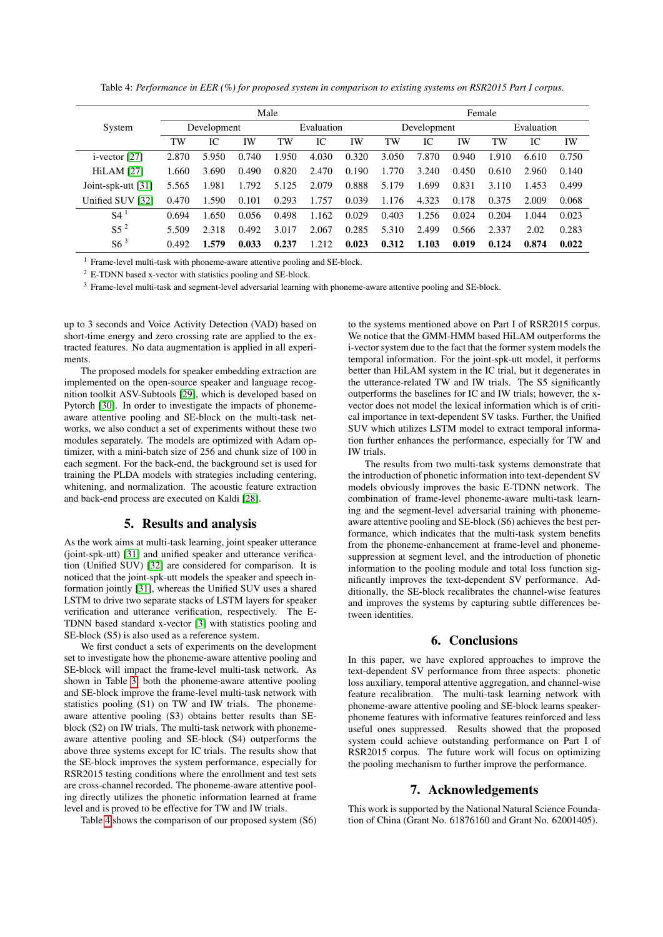Table 4: *Performance in EER (%) for proposed system in comparison to existing systems on RSR2015 Part I corpus.*

<span id="page-3-0"></span>

|                    | Male        |       |            |       |             | Female |            |       |       |       |       |       |
|--------------------|-------------|-------|------------|-------|-------------|--------|------------|-------|-------|-------|-------|-------|
| System             | Development |       | Evaluation |       | Development |        | Evaluation |       |       |       |       |       |
|                    | TW          | IC    | IW         | TW    | IC          | IW     | TW         | IC    | IW    | TW    | IC    | IW    |
| $i$ -vector [27]   | 2.870       | 5.950 | 0.740      | 1.950 | 4.030       | 0.320  | 3.050      | 7.870 | 0.940 | 1.910 | 6.610 | 0.750 |
| <b>HiLAM</b> [27]  | 1.660       | 3.690 | 0.490      | 0.820 | 2.470       | 0.190  | 1.770      | 3.240 | 0.450 | 0.610 | 2.960 | 0.140 |
| Joint-spk-utt [31] | 5.565       | 1.981 | 1.792      | 5.125 | 2.079       | 0.888  | 5.179      | 1.699 | 0.831 | 3.110 | 1.453 | 0.499 |
| Unified SUV [32]   | 0.470       | 1.590 | 0.101      | 0.293 | 1.757       | 0.039  | 1.176      | 4.323 | 0.178 | 0.375 | 2.009 | 0.068 |
| S <sup>4</sup>     | 0.694       | 1.650 | 0.056      | 0.498 | 1.162       | 0.029  | 0.403      | 1.256 | 0.024 | 0.204 | 1.044 | 0.023 |
| $S5^2$             | 5.509       | 2.318 | 0.492      | 3.017 | 2.067       | 0.285  | 5.310      | 2.499 | 0.566 | 2.337 | 2.02  | 0.283 |
| S6 <sup>3</sup>    | 0.492       | 1.579 | 0.033      | 0.237 | 1.212       | 0.023  | 0.312      | 1.103 | 0.019 | 0.124 | 0.874 | 0.022 |

<sup>1</sup> Frame-level multi-task with phoneme-aware attentive pooling and SE-block.

<sup>2</sup> E-TDNN based x-vector with statistics pooling and SE-block.

<sup>3</sup> Frame-level multi-task and segment-level adversarial learning with phoneme-aware attentive pooling and SE-block.

up to 3 seconds and Voice Activity Detection (VAD) based on short-time energy and zero crossing rate are applied to the extracted features. No data augmentation is applied in all experiments.

The proposed models for speaker embedding extraction are implemented on the open-source speaker and language recognition toolkit ASV-Subtools [\[29\]](#page-4-30), which is developed based on Pytorch [\[30\]](#page-4-31). In order to investigate the impacts of phonemeaware attentive pooling and SE-block on the multi-task networks, we also conduct a set of experiments without these two modules separately. The models are optimized with Adam optimizer, with a mini-batch size of 256 and chunk size of 100 in each segment. For the back-end, the background set is used for training the PLDA models with strategies including centering, whitening, and normalization. The acoustic feature extraction and back-end process are executed on Kaldi [\[28\]](#page-4-27).

#### 5. Results and analysis

As the work aims at multi-task learning, joint speaker utterance (joint-spk-utt) [\[31\]](#page-4-28) and unified speaker and utterance verification (Unified SUV) [\[32\]](#page-4-29) are considered for comparison. It is noticed that the joint-spk-utt models the speaker and speech information jointly [\[31\]](#page-4-28), whereas the Unified SUV uses a shared LSTM to drive two separate stacks of LSTM layers for speaker verification and utterance verification, respectively. The E-TDNN based standard x-vector [\[3\]](#page-4-2) with statistics pooling and SE-block (S5) is also used as a reference system.

We first conduct a sets of experiments on the development set to investigate how the phoneme-aware attentive pooling and SE-block will impact the frame-level multi-task network. As shown in Table [3,](#page-2-2) both the phoneme-aware attentive pooling and SE-block improve the frame-level multi-task network with statistics pooling (S1) on TW and IW trials. The phonemeaware attentive pooling (S3) obtains better results than SEblock (S2) on IW trials. The multi-task network with phonemeaware attentive pooling and SE-block (S4) outperforms the above three systems except for IC trials. The results show that the SE-block improves the system performance, especially for RSR2015 testing conditions where the enrollment and test sets are cross-channel recorded. The phoneme-aware attentive pooling directly utilizes the phonetic information learned at frame level and is proved to be effective for TW and IW trials.

Table [4](#page-3-0) shows the comparison of our proposed system (S6)

to the systems mentioned above on Part I of RSR2015 corpus. We notice that the GMM-HMM based HiLAM outperforms the i-vector system due to the fact that the former system models the temporal information. For the joint-spk-utt model, it performs better than HiLAM system in the IC trial, but it degenerates in the utterance-related TW and IW trials. The S5 significantly outperforms the baselines for IC and IW trials; however, the xvector does not model the lexical information which is of critical importance in text-dependent SV tasks. Further, the Unified SUV which utilizes LSTM model to extract temporal information further enhances the performance, especially for TW and IW trials.

The results from two multi-task systems demonstrate that the introduction of phonetic information into text-dependent SV models obviously improves the basic E-TDNN network. The combination of frame-level phoneme-aware multi-task learning and the segment-level adversarial training with phonemeaware attentive pooling and SE-block (S6) achieves the best performance, which indicates that the multi-task system benefits from the phoneme-enhancement at frame-level and phonemesuppression at segment level, and the introduction of phonetic information to the pooling module and total loss function significantly improves the text-dependent SV performance. Additionally, the SE-block recalibrates the channel-wise features and improves the systems by capturing subtle differences between identities.

## 6. Conclusions

In this paper, we have explored approaches to improve the text-dependent SV performance from three aspects: phonetic loss auxiliary, temporal attentive aggregation, and channel-wise feature recalibration. The multi-task learning network with phoneme-aware attentive pooling and SE-block learns speakerphoneme features with informative features reinforced and less useful ones suppressed. Results showed that the proposed system could achieve outstanding performance on Part I of RSR2015 corpus. The future work will focus on optimizing the pooling mechanism to further improve the performance.

## 7. Acknowledgements

This work is supported by the National Natural Science Foundation of China (Grant No. 61876160 and Grant No. 62001405).